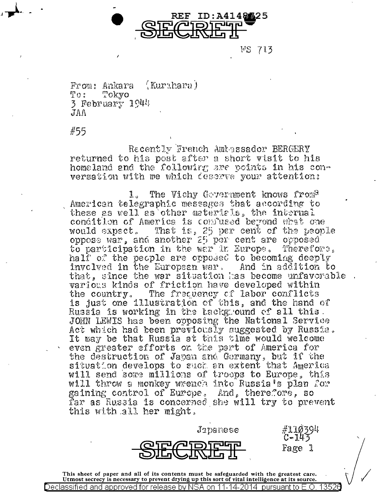

WS 713

 $(Kuruhara)$ From: Ankara  $To:$ Tokvo  $3$  February  $1944$  $AAT$ 

#55

Recently French Ambassador BERGERY returned to his post after a short visit to his homeland and the following are points in his couversation with me which deserve your attention:

The Vichy Government knows from<sup>2</sup> 1. American telegraphic messages that according to these as well as other materials, the internal condition of America is confused beyond what one would expect. That is, 25 per cent of the people oppose war, and another 25 per cent are opposed to participation in the war in Europe. Therefore. half of the people are opposed to becoming deeply involved in the European war, And in addition to that, since the war situation has become unfavorable various kinds of friction have developed within The frequency of labor conflicts the country. is just one illustration of this, and the hand of Russia is working in the tackground of all this. JOHN LEWIS has been opposing the National Service Act which had been previously suggested by Russia. It may be that Russia at this time would welcome even greater efforts on the part of America for the destruction of Javan and Germany, but if the situation develops to such an extent that America will send some millions of troops to Europe, this will throw a monkey wrench into Russia's plan for gaining control of Europe. And, therefore, so far as Russia is concerned she will try to prevent this with all her might.



Japanese

Fage l

This sheet of paper and all of its contents must be safeguarded with the greatest care.<br>Utmost secrecy is necessary to prevent drying up this sort of vital intelligence at its source. 1352) Declassified